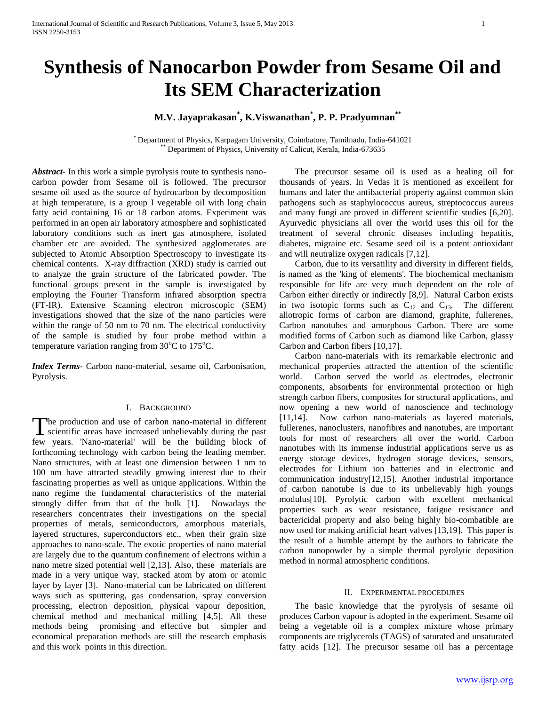# **Synthesis of Nanocarbon Powder from Sesame Oil and Its SEM Characterization**

# **M.V. Jayaprakasan\* , K.Viswanathan\* , P. P. Pradyumnan\*\***

\* Department of Physics, Karpagam University, Coimbatore, Tamilnadu, India-641021 Department of Physics, University of Calicut, Kerala, India-673635

*Abstract***-** In this work a simple pyrolysis route to synthesis nanocarbon powder from Sesame oil is followed. The precursor sesame oil used as the source of hydrocarbon by decomposition at high temperature, is a group I vegetable oil with long chain fatty acid containing 16 or 18 carbon atoms. Experiment was performed in an open air laboratory atmosphere and sophisticated laboratory conditions such as inert gas atmosphere, isolated chamber etc are avoided. The synthesized agglomerates are subjected to Atomic Absorption Spectroscopy to investigate its chemical contents. X-ray diffraction (XRD) study is carried out to analyze the grain structure of the fabricated powder. The functional groups present in the sample is investigated by employing the Fourier Transform infrared absorption spectra (FT-IR). Extensive Scanning electron microscopic (SEM) investigations showed that the size of the nano particles were within the range of 50 nm to 70 nm. The electrical conductivity of the sample is studied by four probe method within a temperature variation ranging from  $30^{\circ}$ C to  $175^{\circ}$ C.

*Index Terms*- Carbon nano-material, sesame oil, Carbonisation, Pyrolysis.

#### I. BACKGROUND

he production and use of carbon nano-material in different The production and use of carbon nano-material in different<br>scientific areas have increased unbelievably during the past few years. 'Nano-material' will be the building block of forthcoming technology with carbon being the leading member. Nano structures, with at least one dimension between 1 nm to 100 nm have attracted steadily growing interest due to their fascinating properties as well as unique applications. Within the nano regime the fundamental characteristics of the material strongly differ from that of the bulk [1]. Nowadays the researchers concentrates their investigations on the special properties of metals, semiconductors, amorphous materials, layered structures, superconductors etc., when their grain size approaches to nano-scale. The exotic properties of nano material are largely due to the quantum confinement of electrons within a nano metre sized potential well [2,13]. Also, these materials are made in a very unique way, stacked atom by atom or atomic layer by layer [3]. Nano-material can be fabricated on different ways such as sputtering, gas condensation, spray conversion processing, electron deposition, physical vapour deposition, chemical method and mechanical milling [4,5]. All these methods being promising and effective but simpler and economical preparation methods are still the research emphasis and this work points in this direction.

 The precursor sesame oil is used as a healing oil for thousands of years. In Vedas it is mentioned as excellent for humans and later the antibacterial property against common skin pathogens such as staphylococcus aureus, streptococcus aureus and many fungi are proved in different scientific studies [6,20]. Ayurvedic physicians all over the world uses this oil for the treatment of several chronic diseases including hepatitis, diabetes, migraine etc. Sesame seed oil is a potent antioxidant and will neutralize oxygen radicals [7,12].

 Carbon, due to its versatility and diversity in different fields, is named as the 'king of elements'. The biochemical mechanism responsible for life are very much dependent on the role of Carbon either directly or indirectly [8,9]. Natural Carbon exists in two isotopic forms such as  $C_{12}$  and  $C_{13}$ . The different allotropic forms of carbon are diamond, graphite, fullerenes, Carbon nanotubes and amorphous Carbon. There are some modified forms of Carbon such as diamond like Carbon, glassy Carbon and Carbon fibers [10,17].

 Carbon nano-materials with its remarkable electronic and mechanical properties attracted the attention of the scientific world. Carbon served the world as electrodes, electronic components, absorbents for environmental protection or high strength carbon fibers, composites for structural applications, and now opening a new world of nanoscience and technology [11,14]. Now carbon nano-materials as layered materials, fullerenes, nanoclusters, nanofibres and nanotubes, are important tools for most of researchers all over the world. Carbon nanotubes with its immense industrial applications serve us as energy storage devices, hydrogen storage devices, sensors, electrodes for Lithium ion batteries and in electronic and communication industry[12,15]. Another industrial importance of carbon nanotube is due to its unbelievably high youngs modulus[10]. Pyrolytic carbon with excellent mechanical properties such as wear resistance, fatigue resistance and bactericidal property and also being highly bio-combatible are now used for making artificial heart valves [13,19]. This paper is the result of a humble attempt by the authors to fabricate the carbon nanopowder by a simple thermal pyrolytic deposition method in normal atmospheric conditions.

#### II. EXPERIMENTAL PROCEDURES

 The basic knowledge that the pyrolysis of sesame oil produces Carbon vapour is adopted in the experiment. Sesame oil being a vegetable oil is a complex mixture whose primary components are triglycerols (TAGS) of saturated and unsaturated fatty acids [12]. The precursor sesame oil has a percentage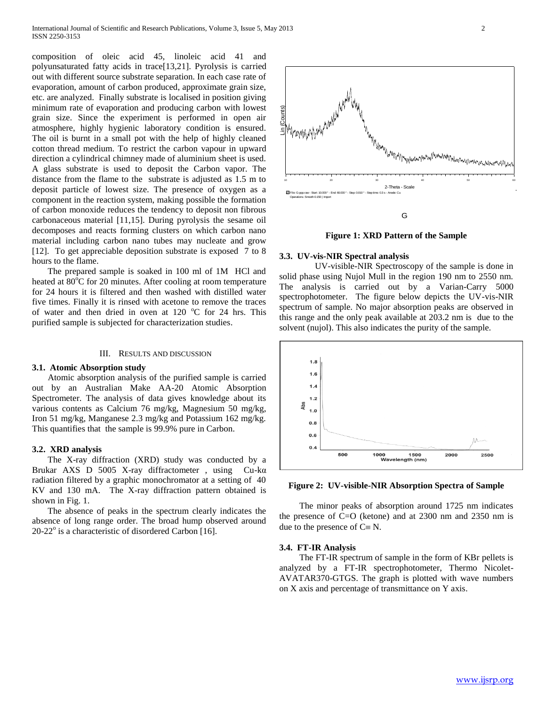composition of oleic acid 45, linoleic acid 41 and polyunsaturated fatty acids in trace[13,21]. Pyrolysis is carried out with different source substrate separation. In each case rate of evaporation, amount of carbon produced, approximate grain size, etc. are analyzed. Finally substrate is localised in position giving minimum rate of evaporation and producing carbon with lowest grain size. Since the experiment is performed in open air atmosphere, highly hygienic laboratory condition is ensured. The oil is burnt in a small pot with the help of highly cleaned cotton thread medium. To restrict the carbon vapour in upward direction a cylindrical chimney made of aluminium sheet is used. A glass substrate is used to deposit the Carbon vapor. The distance from the flame to the substrate is adjusted as 1.5 m to deposit particle of lowest size. The presence of oxygen as a component in the reaction system, making possible the formation of carbon monoxide reduces the tendency to deposit non fibrous carbonaceous material [11,15]. During pyrolysis the sesame oil decomposes and reacts forming clusters on which carbon nano material including carbon nano tubes may nucleate and grow [12]. To get appreciable deposition substrate is exposed 7 to 8 hours to the flame.

 The prepared sample is soaked in 100 ml of 1M HCl and heated at  $80^{\circ}$ C for 20 minutes. After cooling at room temperature for 24 hours it is filtered and then washed with distilled water five times. Finally it is rinsed with acetone to remove the traces of water and then dried in oven at 120  $^{\circ}$ C for 24 hrs. This purified sample is subjected for characterization studies.

# III. RESULTS AND DISCUSSION

# **3.1. Atomic Absorption study**

 Atomic absorption analysis of the purified sample is carried out by an Australian Make AA-20 Atomic Absorption Spectrometer. The analysis of data gives knowledge about its various contents as Calcium 76 mg/kg, Magnesium 50 mg/kg, Iron 51 mg/kg, Manganese 2.3 mg/kg and Potassium 162 mg/kg. This quantifies that the sample is 99.9% pure in Carbon.

#### **3.2. XRD analysis**

 The X-ray diffraction (XRD) study was conducted by a Brukar AXS D 5005 X-ray diffractometer , using Cu-kα radiation filtered by a graphic monochromator at a setting of 40 KV and 130 mA. The X-ray diffraction pattern obtained is shown in Fig. 1.

 The absence of peaks in the spectrum clearly indicates the absence of long range order. The broad hump observed around 20-22° is a characteristic of disordered Carbon [16].



**Figure 1: XRD Pattern of the Sample**

#### **3.3. UV-vis-NIR Spectral analysis**

 UV-visible-NIR Spectroscopy of the sample is done in solid phase using Nujol Mull in the region 190 nm to 2550 nm. The analysis is carried out by a Varian-Carry 5000 spectrophotometer. The figure below depicts the UV-vis-NIR spectrum of sample. No major absorption peaks are observed in this range and the only peak available at 203.2 nm is due to the solvent (nujol). This also indicates the purity of the sample.



**Figure 2: UV-visible-NIR Absorption Spectra of Sample** 

 The minor peaks of absorption around 1725 nm indicates the presence of C=O (ketone) and at 2300 nm and 2350 nm is due to the presence of  $C \equiv N$ .

#### **3.4. FT-IR Analysis**

 The FT-IR spectrum of sample in the form of KBr pellets is analyzed by a FT-IR spectrophotometer, Thermo Nicolet-AVATAR370-GTGS. The graph is plotted with wave numbers on X axis and percentage of transmittance on Y axis.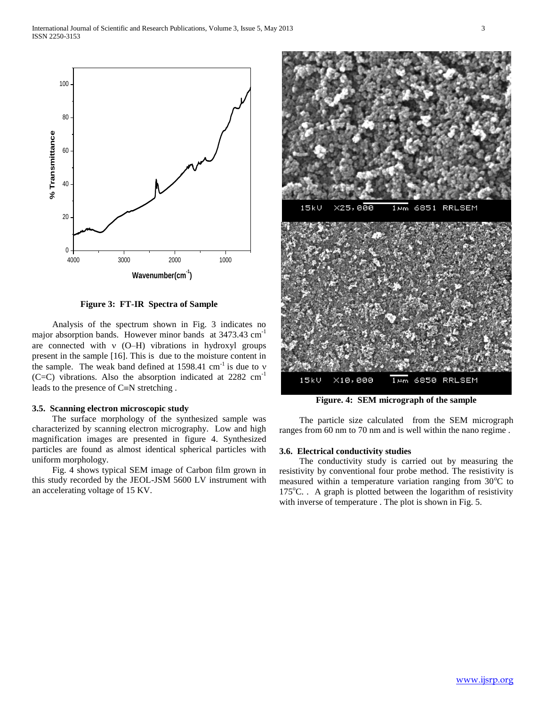

**Figure 3: FT-IR Spectra of Sample**

 Analysis of the spectrum shown in Fig. 3 indicates no major absorption bands. However minor bands at 3473.43 cm<sup>-1</sup> are connected with  $v$  (O–H) vibrations in hydroxyl groups present in the sample [16]. This is due to the moisture content in the sample. The weak band defined at  $1598.41 \text{ cm}^{-1}$  is due to v (C=C) vibrations. Also the absorption indicated at 2282 cm-1 leads to the presence of  $C=N$  stretching .

## **3.5. Scanning electron microscopic study**

 The surface morphology of the synthesized sample was characterized by scanning electron micrography. Low and high magnification images are presented in figure 4. Synthesized particles are found as almost identical spherical particles with uniform morphology.

 Fig. 4 shows typical SEM image of Carbon film grown in this study recorded by the JEOL-JSM 5600 LV instrument with an accelerating voltage of 15 KV.



**Figure. 4: SEM micrograph of the sample**

 The particle size calculated from the SEM micrograph ranges from 60 nm to 70 nm and is well within the nano regime .

#### **3.6. Electrical conductivity studies**

 The conductivity study is carried out by measuring the resistivity by conventional four probe method. The resistivity is measured within a temperature variation ranging from  $30^{\circ}$ C to  $175^{\circ}$ C. . A graph is plotted between the logarithm of resistivity with inverse of temperature . The plot is shown in Fig. 5.